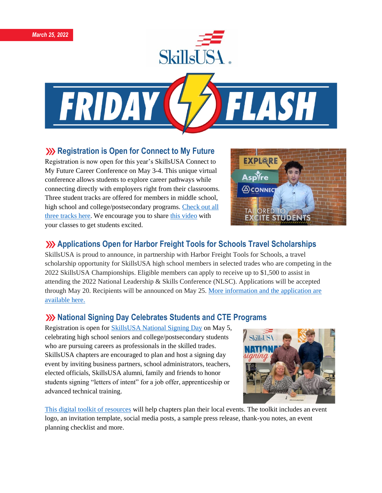



## **XXX** Registration is Open for Connect to My Future

Registration is now open for this year's SkillsUSA Connect to My Future Career Conference on May 3-4. This unique virtual conference allows students to explore career pathways while connecting directly with employers right from their classrooms. Three student tracks are offered for members in middle school, high school and college/postsecondary programs. [Check out all](https://www.skillsusa.org/events-training/skillsusa-connect-to-my-future-conference/)  [three tracks here.](https://www.skillsusa.org/events-training/skillsusa-connect-to-my-future-conference/) We encourage you to share [this video](https://www.youtube.com/watch?v=BA3PfAy7br8) with your classes to get students excited.



# **Applications Open for Harbor Freight Tools for Schools Travel Scholarships**

SkillsUSA is proud to announce, in partnership with Harbor Freight Tools for Schools, a travel scholarship opportunity for SkillsUSA high school members in selected trades who are competing in the 2022 SkillsUSA Championships. Eligible members can apply to receive up to \$1,500 to assist in attending the 2022 National Leadership & Skills Conference (NLSC). Applications will be accepted through May 20. Recipients will be announced on May 25. More [information](https://skillsusa.wufoo.com/forms/rjr8ngm1s8mjnq) and the application are [available](https://skillsusa.wufoo.com/forms/rjr8ngm1s8mjnq) here.

# **National Signing Day Celebrates Students and CTE Programs**

Registration is open for [SkillsUSA National Signing Day](https://www.skillsusa.org/events-training/national-signing-day/) on May 5, celebrating high school seniors and college/postsecondary students who are pursuing careers as professionals in the skilled trades. SkillsUSA chapters are encouraged to plan and host a signing day event by inviting business partners, school administrators, teachers, elected officials, SkillsUSA alumni, family and friends to honor students signing "letters of intent" for a job offer, apprenticeship or advanced technical training.



[This digital toolkit of resources](https://www.skillsusa.org/events-training/national-signing-day/) will help chapters plan their local events. The toolkit includes an event logo, an invitation template, social media posts, a sample press release, thank-you notes, an event planning checklist and more.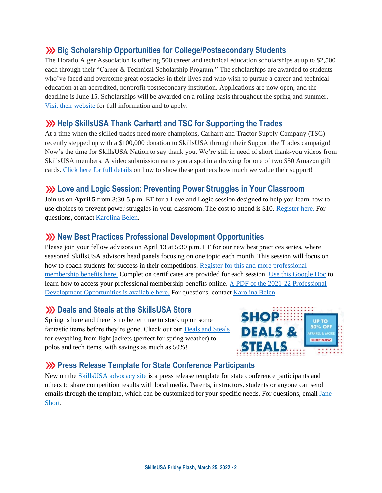# **Big Scholarship Opportunities for College/Postsecondary Students**

The Horatio Alger Association is offering 500 career and technical education scholarships at up to \$2,500 each through their "Career & Technical Scholarship Program." The scholarships are awarded to students who've faced and overcome great obstacles in their lives and who wish to pursue a career and technical education at an accredited, nonprofit postsecondary institution. Applications are now open, and the deadline is June 15. Scholarships will be awarded on a rolling basis throughout the spring and summer. Visit their [website](https://scholars.horatioalger.org/about-our-scholarship-programs/technical/) for full information and to apply.

### **XX** Help SkillsUSA Thank Carhartt and TSC for Supporting the Trades

At a time when the skilled trades need more champions, Carhartt and Tractor Supply Company (TSC) recently stepped up with a \$100,000 donation to SkillsUSA through their Support the Trades campaign! Now's the time for SkillsUSA Nation to say thank you. We're still in need of short thank-you videos from SkillsUSA members. A video submission earns you a spot in a drawing for one of two \$50 Amazon gift cards. Click here for full [details](https://skillsusa.wufoo.com/forms/carhartttsc-thank-you-videos) on how to show these partners how much we value their support!

## **Love and Logic Session: Preventing Power Struggles in Your Classroom**

Join us on **April 5** from 3:30-5 p.m. ET for a Love and Logic session designed to help you learn how to use choices to prevent power struggles in your classroom. The cost to attend is \$10. [Register here.](https://skillsusa.wufoo.com/forms/love-and-logic-and-technical-fridays-registration) For questions, contact [Karolina Belen.](mailto:kbelen@skillsusa.org)

## **XX** New Best Practices Professional Development Opportunities

Please join your fellow advisors on April 13 at 5:30 p.m. ET for our new best practices series, where seasoned SkillsUSA advisors head panels focusing on one topic each month. This session will focus on how to coach students for success in their competitions. [Register for this and more professional](https://absorb.skillsusa.org/#/dashboard)  [membership benefits here.](https://absorb.skillsusa.org/#/dashboard) Completion certificates are provided for each session. [Use this Google Doc](https://docs.google.com/document/d/1d2EvwsmdelNzm-WK7pTGSokJTbWZXcFDOODai32SGzk/edit) to learn how to access your professional membership benefits online. [A PDF of the 2021-22 Professional](https://www.skillsusa.org/wp-content/uploads/2021/09/SkillsUSA-2021-Professional-Development-Opportunities-v9.pdf)  [Development Opportunities is available here.](https://www.skillsusa.org/wp-content/uploads/2021/09/SkillsUSA-2021-Professional-Development-Opportunities-v9.pdf) For questions, contact [Karolina Belen.](mailto:kbelen@skillsusa.org)

#### **222 Deals and Steals at the SkillsUSA Store**

Spring is here and there is no better time to stock up on some fantastic items before they're gone. Check out our [Deals and Steals](https://skillsusastore.org/products?s%5Bf%5D%5Bc%5D%5B%5D=%2FDeals+%26+Steals) for eveything from light jackets (perfect for spring weather) to polos and tech items, with savings as much as 50%!



#### **Press Release Template for State Conference Participants**

New on the [SkillsUSA advocacy site](https://www.congressweb.com/susa/#/) is a press release template for state conference participants and others to share competition results with local media. Parents, instructors, students or anyone can send emails through the template, which can be customized for your specific needs. For questions, email [Jane](mailto:jshort@skillsusa.org)  [Short.](mailto:jshort@skillsusa.org)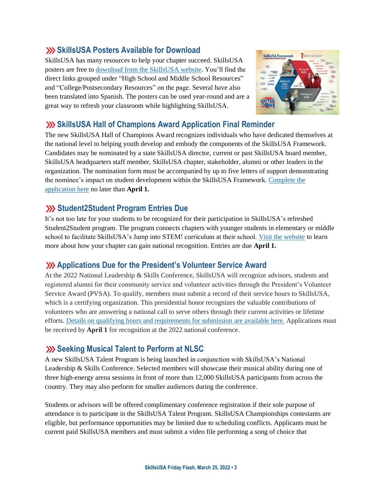# **SkillsUSA Posters Available for Download**

SkillsUSA has many resources to help your chapter succeed. SkillsUSA posters are free to [download from the SkillsUSA website.](https://www.skillsusa.org/membership-resources/membership-kit/) You'll find the direct links grouped under "High School and Middle School Resources" and "College/Postsecondary Resources" on the page. Several have also been translated into Spanish. The posters can be used year-round and are a great way to refresh your classroom while highlighting SkillsUSA.



### **Sharehoff** SkillsUSA Hall of Champions Award Application Final Reminder

The new SkillsUSA Hall of Champions Award recognizes individuals who have dedicated themselves at the national level to helping youth develop and embody the components of the SkillsUSA Framework. Candidates may be nominated by a state SkillsUSA director, current or past SkillsUSA board member, SkillsUSA headquarters staff member, SkillsUSA chapter, stakeholder, alumni or other leaders in the organization. The nomination form must be accompanied by up to five letters of support demonstrating the nominee's impact on student development within the SkillsUSA Framework. [Complete the](https://skillsusa.wufoo.com/forms/skillsusa-hall-of-champions-award/)  [application here](https://skillsusa.wufoo.com/forms/skillsusa-hall-of-champions-award/) no later than **April 1.**

## **Student2Student Program Entries Due**

It's not too late for your students to be recognized for their participation in SkillsUSA's refreshed Student2Student program. The program connects chapters with younger students in elementary or middle school to facilitate SkillsUSA's Jump into STEM! curriculum at their school. [Visit the website](https://www.skillsusa.org/programs/student2student/) to learn more about how your chapter can gain national recognition. Entries are due **April 1.**

# **Applications Due for the President's Volunteer Service Award**

At the 2022 National Leadership & Skills Conference, SkillsUSA will recognize advisors, students and registered alumni for their community service and volunteer activities through the President's Volunteer Service Award (PVSA). To qualify, members must submit a record of their service hours to SkillsUSA, which is a certifying organization. This presidential honor recognizes the valuable contributions of volunteers who are answering a national call to serve others through their current activities or lifetime efforts. [Details on qualifying hours and requirements for submission are available here.](https://www.skillsusa.org/membership-resources/awards/presidents-volunteer-service-award) Applications must be received by **April 1** for recognition at the 2022 national conference.

#### **Seeking Musical Talent to Perform at NLSC**

A new SkillsUSA Talent Program is being launched in conjunction with SkillsUSA's National Leadership & Skills Conference. Selected members will showcase their musical ability during one of three high-energy arena sessions in front of more than 12,000 SkillsUSA participants from across the country. They may also perform for smaller audiences during the conference.

Students or advisors will be offered complimentary conference registration if their sole purpose of attendance is to participate in the SkillsUSA Talent Program. SkillsUSA Championships contestants are eligible, but performance opportunities may be limited due to scheduling conflicts. Applicants must be current paid SkillsUSA members and must submit a video file performing a song of choice that